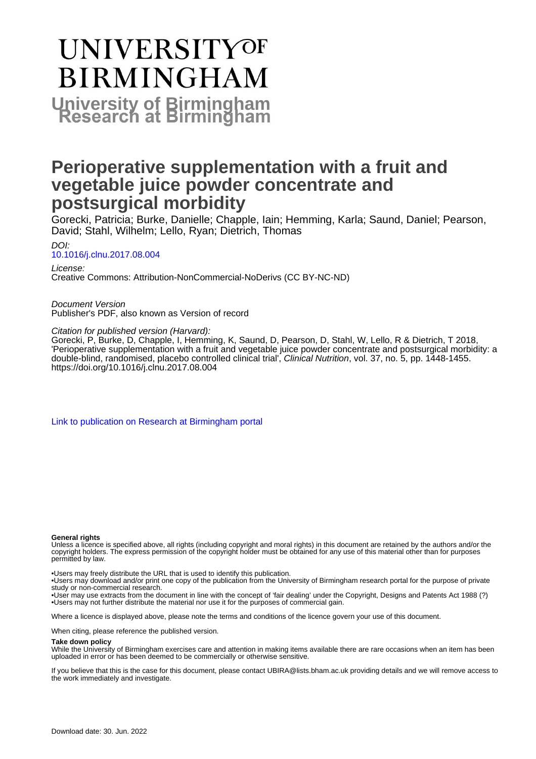# **UNIVERSITYOF BIRMINGHAM University of Birmingham**

## **Perioperative supplementation with a fruit and vegetable juice powder concentrate and postsurgical morbidity**

Gorecki, Patricia; Burke, Danielle; Chapple, Iain; Hemming, Karla; Saund, Daniel; Pearson, David; Stahl, Wilhelm; Lello, Ryan; Dietrich, Thomas

DOI: [10.1016/j.clnu.2017.08.004](https://doi.org/10.1016/j.clnu.2017.08.004)

License: Creative Commons: Attribution-NonCommercial-NoDerivs (CC BY-NC-ND)

Document Version Publisher's PDF, also known as Version of record

Citation for published version (Harvard):

Gorecki, P, Burke, D, Chapple, I, Hemming, K, Saund, D, Pearson, D, Stahl, W, Lello, R & Dietrich, T 2018, 'Perioperative supplementation with a fruit and vegetable juice powder concentrate and postsurgical morbidity: a double-blind, randomised, placebo controlled clinical trial', Clinical Nutrition, vol. 37, no. 5, pp. 1448-1455. <https://doi.org/10.1016/j.clnu.2017.08.004>

[Link to publication on Research at Birmingham portal](https://birmingham.elsevierpure.com/en/publications/b55595b8-4314-4ec8-af07-102f3a58f269)

#### **General rights**

Unless a licence is specified above, all rights (including copyright and moral rights) in this document are retained by the authors and/or the copyright holders. The express permission of the copyright holder must be obtained for any use of this material other than for purposes permitted by law.

• Users may freely distribute the URL that is used to identify this publication.

• Users may download and/or print one copy of the publication from the University of Birmingham research portal for the purpose of private study or non-commercial research.

• User may use extracts from the document in line with the concept of 'fair dealing' under the Copyright, Designs and Patents Act 1988 (?) • Users may not further distribute the material nor use it for the purposes of commercial gain.

Where a licence is displayed above, please note the terms and conditions of the licence govern your use of this document.

When citing, please reference the published version.

#### **Take down policy**

While the University of Birmingham exercises care and attention in making items available there are rare occasions when an item has been uploaded in error or has been deemed to be commercially or otherwise sensitive.

If you believe that this is the case for this document, please contact UBIRA@lists.bham.ac.uk providing details and we will remove access to the work immediately and investigate.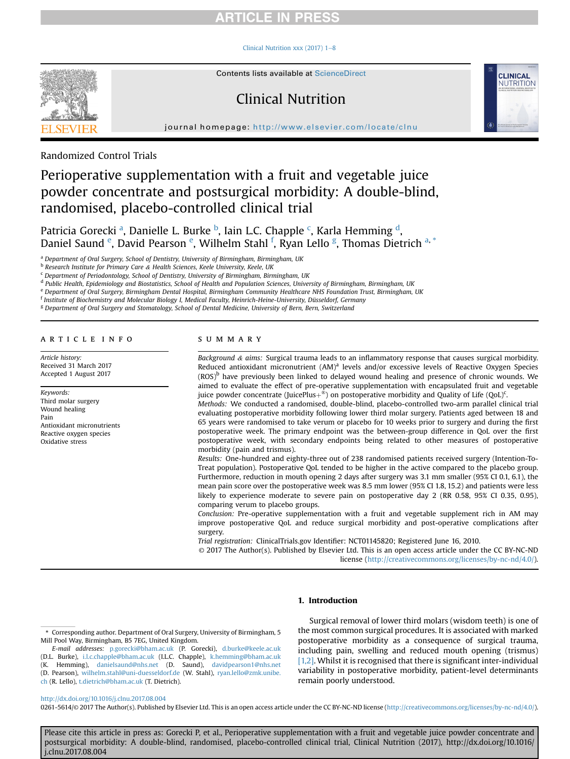#### Clinical Nutrition xxx (2017)  $1-8$  $1-8$



## Clinical Nutrition



journal homepage: <http://www.elsevier.com/locate/clnu>

Randomized Control Trials

## Perioperative supplementation with a fruit and vegetable juice powder concentrate and postsurgical morbidity: A double-blind, randomised, placebo-controlled clinical trial

Patricia Gorecki <sup>a</sup>, Danielle L. Burke <sup>b</sup>, Iain L.C. Chapple <sup>c</sup>, Karla Hemming <sup>d</sup>, Daniel Saund <sup>e</sup>, David Pearson <sup>e</sup>, Wilhelm Stahl <sup>f</sup>, Ryan Lello <sup>g</sup>, Thomas Dietrich <sup>a, \*</sup>

a Department of Oral Surgery, School of Dentistry, University of Birmingham, Birmingham, UK

b Research Institute for Primary Care & Health Sciences, Keele University, Keele, UK

<sup>c</sup> Department of Periodontology, School of Dentistry, University of Birmingham, Birmingham, UK

<sup>d</sup> Public Health, Epidemiology and Biostatistics, School of Health and Population Sciences, University of Birmingham, Birmingham, UK

<sup>e</sup> Department of Oral Surgery, Birmingham Dental Hospital, Birmingham Community Healthcare NHS Foundation Trust, Birmingham, UK

<sup>f</sup> Institute of Biochemistry and Molecular Biology I, Medical Faculty, Heinrich-Heine-University, Düsseldorf, Germany

<sup>g</sup> Department of Oral Surgery and Stomatology, School of Dental Medicine, University of Bern, Bern, Switzerland

#### article info

Article history: Received 31 March 2017 Accepted 1 August 2017

Keywords: Third molar surgery Wound healing Pain Antioxidant micronutrients Reactive oxygen species Oxidative stress

#### SUMMARY

Background  $\&$  aims: Surgical trauma leads to an inflammatory response that causes surgical morbidity. Reduced antioxidant micronutrient  $(AM)^a$  levels and/or excessive levels of Reactive Oxygen Species  $(ROS)^b$  have previously been linked to delayed wound healing and presence of chronic wounds. We aimed to evaluate the effect of pre-operative supplementation with encapsulated fruit and vegetable juice powder concentrate (JuicePlus $+^{\circledast}$ ) on postoperative morbidity and Quality of Life (QoL)<sup>c</sup>.

Methods: We conducted a randomised, double-blind, placebo-controlled two-arm parallel clinical trial evaluating postoperative morbidity following lower third molar surgery. Patients aged between 18 and 65 years were randomised to take verum or placebo for 10 weeks prior to surgery and during the first postoperative week. The primary endpoint was the between-group difference in QoL over the first postoperative week, with secondary endpoints being related to other measures of postoperative morbidity (pain and trismus).

Results: One-hundred and eighty-three out of 238 randomised patients received surgery (Intention-To-Treat population). Postoperative QoL tended to be higher in the active compared to the placebo group. Furthermore, reduction in mouth opening 2 days after surgery was 3.1 mm smaller (95% CI 0.1, 6.1), the mean pain score over the postoperative week was 8.5 mm lower (95% CI 1.8, 15.2) and patients were less likely to experience moderate to severe pain on postoperative day 2 (RR 0.58, 95% CI 0.35, 0.95), comparing verum to placebo groups.

Conclusion: Pre-operative supplementation with a fruit and vegetable supplement rich in AM may improve postoperative QoL and reduce surgical morbidity and post-operative complications after surgery.

Trial registration: ClinicalTrials.gov Identifier: NCT01145820; Registered June 16, 2010.

© 2017 The Author(s). Published by Elsevier Ltd. This is an open access article under the CC BY-NC-ND license [\(http://creativecommons.org/licenses/by-nc-nd/4.0/](http://creativecommons.org/licenses/by-nc-nd/4.0/)).

#### 1. Introduction

Surgical removal of lower third molars (wisdom teeth) is one of the most common surgical procedures. It is associated with marked postoperative morbidity as a consequence of surgical trauma, including pain, swelling and reduced mouth opening (trismus) [\[1,2\]](#page-8-0). Whilst it is recognised that there is significant inter-individual variability in postoperative morbidity, patient-level determinants remain poorly understood.

#### <http://dx.doi.org/10.1016/j.clnu.2017.08.004>

0261-5614/© 2017 The Author(s). Published by Elsevier Ltd. This is an open access article under the CC BY-NC-ND license ([http://creativecommons.org/licenses/by-nc-nd/4.0/\)](http://creativecommons.org/licenses/by-nc-nd/4.0/).

<sup>\*</sup> Corresponding author. Department of Oral Surgery, University of Birmingham, 5 Mill Pool Way, Birmingham, B5 7EG, United Kingdom.

E-mail addresses: [p.gorecki@bham.ac.uk](mailto:p.gorecki@bham.ac.uk) (P. Gorecki), [d.burke@keele.ac.uk](mailto:d.burke@keele.ac.uk) (D.L. Burke), [i.l.c.chapple@bham.ac.uk](mailto:i.l.c.chapple@bham.ac.uk) (I.L.C. Chapple), [k.hemming@bham.ac.uk](mailto:k.hemming@bham.ac.uk) (K. Hemming), [danielsaund@nhs.net](mailto:danielsaund@nhs.net) (D. Saund), [davidpearson1@nhs.net](mailto:davidpearson1@nhs.net) (D. Pearson), [wilhelm.stahl@uni-duesseldorf.de](mailto:wilhelm.stahl@uni-duesseldorf.de) (W. Stahl), [ryan.lello@zmk.unibe.](mailto:ryan.lello@zmk.unibe.ch) [ch](mailto:ryan.lello@zmk.unibe.ch) (R. Lello), [t.dietrich@bham.ac.uk](mailto:t.dietrich@bham.ac.uk) (T. Dietrich).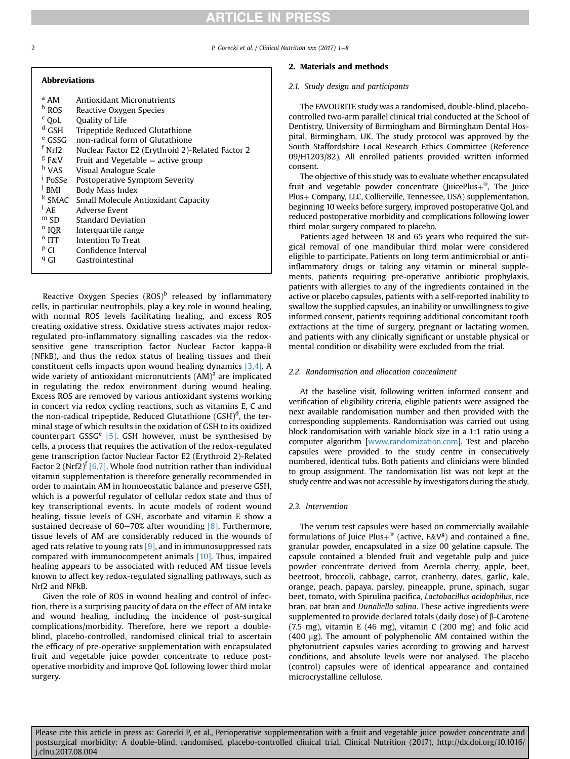2 **P. Gorecki et al.** / Clinical Nutrition xxx (2017) 1-8

| <b>Abbreviations</b> |                                                       |
|----------------------|-------------------------------------------------------|
| $^{\rm a}$ AM        | <b>Antioxidant Micronutrients</b>                     |
| <b>b</b> ROS         | Reactive Oxygen Species                               |
| $c$ QoL              | Quality of Life                                       |
| $^d$ GSH             | Tripeptide Reduced Glutathione                        |
| <sup>e</sup> GSSG    | non-radical form of Glutathione                       |
| $f_{\rm Nrf2}$       | Nuclear Factor E2 (Erythroid 2)-Related Factor 2      |
| $8$ F&V              | Fruit and Vegetable $=$ active group                  |
| <sup>h</sup> VAS     | Visual Analogue Scale                                 |
| <sup>i</sup> PoSSe   | Postoperative Symptom Severity                        |
| $J$ RMI              | Body Mass Index                                       |
|                      | <sup>k</sup> SMAC Small Molecule Antioxidant Capacity |
| $^1$ AF.             | Adverse Event                                         |
| mSD                  | <b>Standard Deviation</b>                             |
| <sup>n</sup> IOR     | Interguartile range                                   |
| $^{\circ}$ ITT       | <b>Intention To Treat</b>                             |
| $P$ CI               | Confidence Interval                                   |
| <sup>q</sup> GI      | Gastrointestinal                                      |
|                      |                                                       |

Reactive Oxygen Species  $(ROS)^b$  released by inflammatory cells, in particular neutrophils, play a key role in wound healing, with normal ROS levels facilitating healing, and excess ROS creating oxidative stress. Oxidative stress activates major redoxregulated pro-inflammatory signalling cascades via the redoxsensitive gene transcription factor Nuclear Factor kappa-B (NFkB), and thus the redox status of healing tissues and their constituent cells impacts upon wound healing dynamics [\[3,4\].](#page-8-0) A wide variety of antioxidant micronutrients  $(AM)^a$  are implicated in regulating the redox environment during wound healing. Excess ROS are removed by various antioxidant systems working in concert via redox cycling reactions, such as vitamins E, C and the non-radical tripeptide, Reduced Glutathione  $(GSH)^d$ , the terminal stage of which results in the oxidation of GSH to its oxidized counterpart GSSG<sup>e</sup> [\[5\].](#page-8-0) GSH however, must be synthesised by cells, a process that requires the activation of the redox-regulated gene transcription factor Nuclear Factor E2 (Erythroid 2)-Related Factor 2 (Nrf2)<sup> $\int$ </sup> [\[6,7\]](#page-8-0). Whole food nutrition rather than individual vitamin supplementation is therefore generally recommended in order to maintain AM in homoeostatic balance and preserve GSH, which is a powerful regulator of cellular redox state and thus of key transcriptional events. In acute models of rodent wound healing, tissue levels of GSH, ascorbate and vitamin E show a sustained decrease of 60-70% after wounding  $[8]$ . Furthermore, tissue levels of AM are considerably reduced in the wounds of aged rats relative to young rats  $[9]$ , and in immunosuppressed rats compared with immunocompetent animals [\[10\].](#page-8-0) Thus, impaired healing appears to be associated with reduced AM tissue levels known to affect key redox-regulated signalling pathways, such as Nrf2 and NFkB.

Given the role of ROS in wound healing and control of infection, there is a surprising paucity of data on the effect of AM intake and wound healing, including the incidence of post-surgical complications/morbidity. Therefore, here we report a doubleblind, placebo-controlled, randomised clinical trial to ascertain the efficacy of pre-operative supplementation with encapsulated fruit and vegetable juice powder concentrate to reduce postoperative morbidity and improve QoL following lower third molar surgery.

#### 2. Materials and methods

#### 2.1. Study design and participants

The FAVOURITE study was a randomised, double-blind, placebocontrolled two-arm parallel clinical trial conducted at the School of Dentistry, University of Birmingham and Birmingham Dental Hospital, Birmingham, UK. The study protocol was approved by the South Staffordshire Local Research Ethics Committee (Reference 09/H1203/82). All enrolled patients provided written informed consent.

The objective of this study was to evaluate whether encapsulated fruit and vegetable powder concentrate (JuicePlus $+^{\mathcal{R}}$ , The Juice Plus + Company, LLC, Collierville, Tennessee, USA) supplementation, beginning 10 weeks before surgery, improved postoperative QoL and reduced postoperative morbidity and complications following lower third molar surgery compared to placebo.

Patients aged between 18 and 65 years who required the surgical removal of one mandibular third molar were considered eligible to participate. Patients on long term antimicrobial or antiinflammatory drugs or taking any vitamin or mineral supplements, patients requiring pre-operative antibiotic prophylaxis, patients with allergies to any of the ingredients contained in the active or placebo capsules, patients with a self-reported inability to swallow the supplied capsules, an inability or unwillingness to give informed consent, patients requiring additional concomitant tooth extractions at the time of surgery, pregnant or lactating women, and patients with any clinically significant or unstable physical or mental condition or disability were excluded from the trial.

#### 2.2. Randomisation and allocation concealment

At the baseline visit, following written informed consent and verification of eligibility criteria, eligible patients were assigned the next available randomisation number and then provided with the corresponding supplements. Randomisation was carried out using block randomisation with variable block size in a 1:1 ratio using a computer algorithm [[www.randomization.com\]](http://www.randomization.com). Test and placebo capsules were provided to the study centre in consecutively numbered, identical tubs. Both patients and clinicians were blinded to group assignment. The randomisation list was not kept at the study centre and was not accessible by investigators during the study.

#### 2.3. Intervention

The verum test capsules were based on commercially available formulations of Juice Plus $+^{\circledR}$  (active, F&V<sup>g</sup>) and contained a fine, granular powder, encapsulated in a size 00 gelatine capsule. The capsule contained a blended fruit and vegetable pulp and juice powder concentrate derived from Acerola cherry, apple, beet, beetroot, broccoli, cabbage, carrot, cranberry, dates, garlic, kale, orange, peach, papaya, parsley, pineapple, prune, spinach, sugar beet, tomato, with Spirulina pacifica, Lactobacillus acidophilus, rice bran, oat bran and Dunaliella salina. These active ingredients were supplemented to provide declared totals (daily dose) of  $\beta$ -Carotene  $(7.5 \text{ mg})$ , vitamin E  $(46 \text{ mg})$ , vitamin C  $(200 \text{ mg})$  and folic acid  $(400 \mu g)$ . The amount of polyphenolic AM contained within the phytonutrient capsules varies according to growing and harvest conditions, and absolute levels were not analysed. The placebo (control) capsules were of identical appearance and contained microcrystalline cellulose.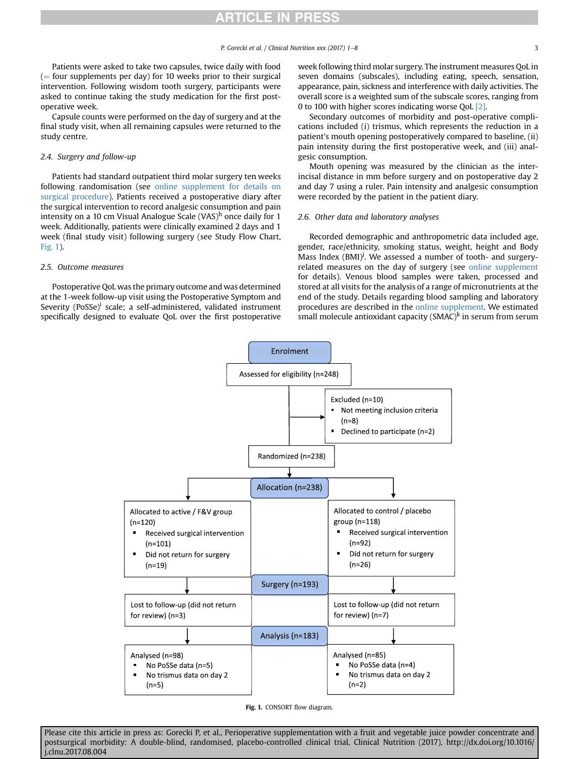<span id="page-3-0"></span>Patients were asked to take two capsules, twice daily with food  $($  = four supplements per day) for 10 weeks prior to their surgical intervention. Following wisdom tooth surgery, participants were asked to continue taking the study medication for the first postoperative week.

Capsule counts were performed on the day of surgery and at the final study visit, when all remaining capsules were returned to the study centre.

#### 2.4. Surgery and follow-up

Patients had standard outpatient third molar surgery ten weeks following randomisation (see online supplement for details on surgical procedure). Patients received a postoperative diary after the surgical intervention to record analgesic consumption and pain intensity on a 10 cm Visual Analogue Scale (VAS)<sup>h</sup> once daily for 1 week. Additionally, patients were clinically examined 2 days and 1 week (final study visit) following surgery (see Study Flow Chart, Fig. 1).

#### 2.5. Outcome measures

Postoperative QoL was the primary outcome and was determined at the 1-week follow-up visit using the Postoperative Symptom and Severity  $(PosSe)^i$  scale; a self-administered, validated instrument specifically designed to evaluate QoL over the first postoperative week following third molar surgery. The instrument measures QoL in seven domains (subscales), including eating, speech, sensation, appearance, pain, sickness and interference with daily activities. The overall score is a weighted sum of the subscale scores, ranging from 0 to 100 with higher scores indicating worse QoL [\[2\]](#page-8-0).

Secondary outcomes of morbidity and post-operative complications included (i) trismus, which represents the reduction in a patient's mouth opening postoperatively compared to baseline, (ii) pain intensity during the first postoperative week, and (iii) analgesic consumption.

Mouth opening was measured by the clinician as the interincisal distance in mm before surgery and on postoperative day 2 and day 7 using a ruler. Pain intensity and analgesic consumption were recorded by the patient in the patient diary.

#### 2.6. Other data and laboratory analyses

Recorded demographic and anthropometric data included age, gender, race/ethnicity, smoking status, weight, height and Body Mass Index (BMI)<sup>j</sup>. We assessed a number of tooth- and surgeryrelated measures on the day of surgery (see online supplement for details). Venous blood samples were taken, processed and stored at all visits for the analysis of a range of micronutrients at the end of the study. Details regarding blood sampling and laboratory procedures are described in the online supplement. We estimated small molecule antioxidant capacity ( $SMAC$ <sup>k</sup> in serum from serum



Fig. 1. CONSORT flow diagram.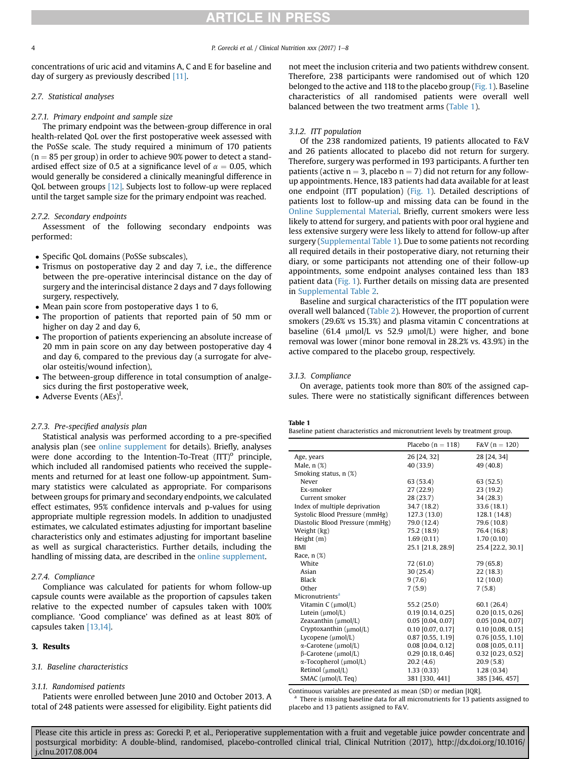concentrations of uric acid and vitamins A, C and E for baseline and day of surgery as previously described [\[11\]](#page-8-0).

#### 2.7. Statistical analyses

#### 2.7.1. Primary endpoint and sample size

The primary endpoint was the between-group difference in oral health-related QoL over the first postoperative week assessed with the PoSSe scale. The study required a minimum of 170 patients  $(n = 85$  per group) in order to achieve 90% power to detect a standardised effect size of 0.5 at a significance level of  $\alpha = 0.05$ , which would generally be considered a clinically meaningful difference in QoL between groups [\[12\].](#page-8-0) Subjects lost to follow-up were replaced until the target sample size for the primary endpoint was reached.

#### 2.7.2. Secondary endpoints

Assessment of the following secondary endpoints was performed:

- Specific QoL domains (PoSSe subscales),
- Trismus on postoperative day 2 and day 7, i.e., the difference between the pre-operative interincisal distance on the day of surgery and the interincisal distance 2 days and 7 days following surgery, respectively,
- Mean pain score from postoperative days 1 to 6,
- The proportion of patients that reported pain of 50 mm or higher on day 2 and day 6,
- The proportion of patients experiencing an absolute increase of 20 mm in pain score on any day between postoperative day 4 and day 6, compared to the previous day (a surrogate for alveolar osteitis/wound infection),
- The between-group difference in total consumption of analgesics during the first postoperative week,
- Adverse Events  $(AEs)^{l}$ .

#### 2.7.3. Pre-specified analysis plan

Statistical analysis was performed according to a pre-specified analysis plan (see online supplement for details). Briefly, analyses were done according to the Intention-To-Treat  $(ITT)^{o}$  principle, which included all randomised patients who received the supplements and returned for at least one follow-up appointment. Summary statistics were calculated as appropriate. For comparisons between groups for primary and secondary endpoints, we calculated effect estimates, 95% confidence intervals and p-values for using appropriate multiple regression models. In addition to unadjusted estimates, we calculated estimates adjusting for important baseline characteristics only and estimates adjusting for important baseline as well as surgical characteristics. Further details, including the handling of missing data, are described in the online supplement.

#### 2.7.4. Compliance

Compliance was calculated for patients for whom follow-up capsule counts were available as the proportion of capsules taken relative to the expected number of capsules taken with 100% compliance. 'Good compliance' was defined as at least 80% of capsules taken [\[13,14\].](#page-8-0)

#### 3. Results

#### 3.1. Baseline characteristics

#### 3.1.1. Randomised patients

Patients were enrolled between June 2010 and October 2013. A total of 248 patients were assessed for eligibility. Eight patients did not meet the inclusion criteria and two patients withdrew consent. Therefore, 238 participants were randomised out of which 120 belonged to the active and 118 to the placebo group [\(Fig. 1](#page-3-0)). Baseline characteristics of all randomised patients were overall well balanced between the two treatment arms (Table 1).

#### 3.1.2. ITT population

Of the 238 randomized patients, 19 patients allocated to F&V and 26 patients allocated to placebo did not return for surgery. Therefore, surgery was performed in 193 participants. A further ten patients (active  $n = 3$ , placebo  $n = 7$ ) did not return for any followup appointments. Hence, 183 patients had data available for at least one endpoint (ITT population) ([Fig. 1](#page-3-0)). Detailed descriptions of patients lost to follow-up and missing data can be found in the Online Supplemental Material. Briefly, current smokers were less likely to attend for surgery, and patients with poor oral hygiene and less extensive surgery were less likely to attend for follow-up after surgery (Supplemental Table 1). Due to some patients not recording all required details in their postoperative diary, not returning their diary, or some participants not attending one of their follow-up appointments, some endpoint analyses contained less than 183 patient data [\(Fig. 1\)](#page-3-0). Further details on missing data are presented in Supplemental Table 2.

Baseline and surgical characteristics of the ITT population were overall well balanced ([Table 2](#page-5-0)). However, the proportion of current smokers (29.6% vs 15.3%) and plasma vitamin C concentrations at baseline  $(61.4 \text{µmol/L vs } 52.9 \text{µmol/L})$  were higher, and bone removal was lower (minor bone removal in 28.2% vs. 43.9%) in the active compared to the placebo group, respectively.

#### 3.1.3. Compliance

On average, patients took more than 80% of the assigned capsules. There were no statistically significant differences between

#### Table 1

| Baseline patient characteristics and micronutrient levels by treatment group. |  |  |
|-------------------------------------------------------------------------------|--|--|
|-------------------------------------------------------------------------------|--|--|

|                                     | Placebo $(n = 118)$ | $F&V(n = 120)$      |
|-------------------------------------|---------------------|---------------------|
| Age, years                          | 26 [24, 32]         | 28 [24, 34]         |
| Male, $n$ $(\%)$                    | 40 (33.9)           | 49 (40.8)           |
| Smoking status, n (%)               |                     |                     |
| Never                               | 63(53.4)            | 63(52.5)            |
| Ex-smoker                           | 27(22.9)            | 23(19.2)            |
| Current smoker                      | 28(23.7)            | 34(28.3)            |
| Index of multiple deprivation       | 34.7 (18.2)         | 33.6(18.1)          |
| Systolic Blood Pressure (mmHg)      | 127.3 (13.0)        | 128.1 (14.8)        |
| Diastolic Blood Pressure (mmHg)     | 79.0 (12.4)         | 79.6 (10.8)         |
| Weight (kg)                         | 75.2 (18.9)         | 76.4 (16.8)         |
| Height $(m)$                        | 1.69(0.11)          | 1.70(0.10)          |
| <b>BMI</b>                          | 25.1 [21.8, 28.9]   | 25.4 [22.2, 30.1]   |
| Race, $n$ $(\%)$                    |                     |                     |
| White                               | 72(61.0)            | 79 (65.8)           |
| Asian                               | 30(25.4)            | 22 (18.3)           |
| <b>Black</b>                        | 9(7.6)              | 12(10.0)            |
| Other                               | 7(5.9)              | 7(5.8)              |
| Micronutrients <sup>a</sup>         |                     |                     |
| Vitamin $C \, (\mu \text{mol/L})$   | 55.2 (25.0)         | 60.1 (26.4)         |
| Lutein $(\mu mol/L)$                | $0.19$ [0.14, 0.25] | $0.20$ [0.15, 0.26] |
| Zeaxanthin $(\mu mol/L)$            | $0.05$ [0.04, 0.07] | 0.05 [0.04, 0.07]   |
| Cryptoxanthin (µmol/L)              | $0.10$ [0.07, 0.17] | $0.10$ [0.08, 0.15] |
| Lycopene $(\mu mol/L)$              | $0.87$ [0.55, 1.19] | $0.76$ [0.55, 1.10] |
| $\alpha$ -Carotene (µmol/L)         | $0.08$ [0.04, 0.12] | $0.08$ [0.05, 0.11] |
| $\beta$ -Carotene (µmol/L)          | $0.29$ [0.18, 0.46] | $0.32$ [0.23, 0.52] |
| $\alpha$ -Tocopherol ( $\mu$ mol/L) | 20.2(4.6)           | 20.9(5.8)           |
| Retinol (umol/L)                    | 1.33(0.33)          | 1.28(0.34)          |
| SMAC (µmol/L Teq)                   | 381 [330, 441]      | 385 [346, 457]      |
|                                     |                     |                     |

Continuous variables are presented as mean (SD) or median [IQR].

<sup>a</sup> There is missing baseline data for all micronutrients for 13 patients assigned to placebo and 13 patients assigned to F&V.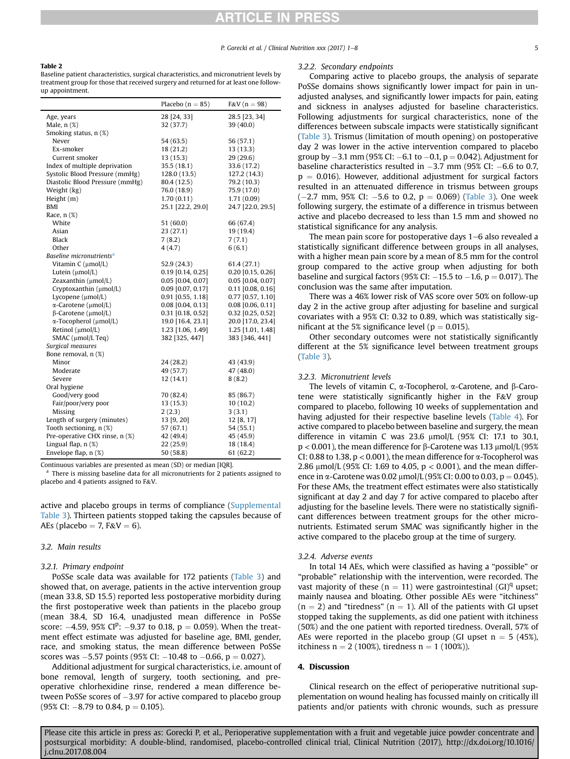#### <span id="page-5-0"></span>Table 2

Baseline patient characteristics, surgical characteristics, and micronutrient levels by treatment group for those that received surgery and returned for at least one followup appointment.

|                                      | Placebo $(n = 85)$  | $F&V(n=98)$         |
|--------------------------------------|---------------------|---------------------|
| Age, years                           | 28 [24, 33]         | 28.5 [23, 34]       |
| Male, $n$ $(\%)$                     | 32 (37.7)           | 39 (40.0)           |
| Smoking status, n (%)                |                     |                     |
| Never                                | 54 (63.5)           | 56 (57.1)           |
| Ex-smoker                            | 18 (21.2)           | 13 (13.3)           |
| Current smoker                       | 13(15.3)            | 29(29.6)            |
| Index of multiple deprivation        | 35.5 (18.1)         | 33.6 (17.2)         |
| Systolic Blood Pressure (mmHg)       | 128.0 (13.5)        | 127.2 (14.3)        |
| Diastolic Blood Pressure (mmHg)      | 80.4 (12.5)         | 79.2 (10.3)         |
| Weight (kg)                          | 76.0 (18.9)         | 75.9 (17.0)         |
| Height (m)                           | 1.70(0.11)          | 1.71(0.09)          |
| BMI                                  | 25.1 [22.2, 29.0]   | 24.7 [22.0, 29.5]   |
| Race, n (%)                          |                     |                     |
| White                                | 51 (60.0)           | 66 (67.4)           |
| Asian                                | 23 (27.1)           | 19 (19.4)           |
| Black                                | 7(8.2)              | 7(7.1)              |
| Other                                | 4(4.7)              | 6(6.1)              |
| Baseline micronutrients <sup>a</sup> |                     |                     |
| Vitamin C (µmol/L)                   | 52.9 (24.3)         | 61.4 (27.1)         |
| Lutein $(\mu mol/L)$                 | $0.19$ [0.14, 0.25] | $0.20$ [0.15, 0.26] |
| Zeaxanthin (µmol/L)                  | $0.05$ [0.04, 0.07] | $0.05$ [0.04, 0.07] |
| Cryptoxanthin (µmol/L)               | 0.09 [0.07, 0.17]   | $0.11$ [0.08, 0.16] |
| Lycopene (µmol/L)                    | $0.91$ [0.55, 1.18] | $0.77$ [0.57, 1.10] |
| $\alpha$ -Carotene (µmol/L)          | 0.08 [0.04, 0.13]   | $0.08$ [0.06, 0.11] |
| $\beta$ -Carotene (µmol/L)           | $0.31$ [0.18, 0.52] | $0.32$ [0.25, 0.52] |
| $\alpha$ -Tocopherol ( $\mu$ mol/L)  | 19.0 [16.4, 23.1]   | 20.0 [17.0, 23.4]   |
| Retinol (µmol/L)                     | 1.23 [1.06, 1.49]   | 1.25 [1.01, 1.48]   |
| SMAC (µmol/L Teq)                    | 382 [325, 447]      | 383 [346, 441]      |
| Surgical measures                    |                     |                     |
| Bone removal, n (%)                  |                     |                     |
| Minor                                | 24 (28.2)           | 43 (43.9)           |
| Moderate                             | 49 (57.7)           | 47 (48.0)           |
| Severe                               | 12 (14.1)           | 8(8.2)              |
| Oral hygiene                         |                     |                     |
| Good/very good                       | 70 (82.4)           | 85 (86.7)           |
| Fair/poor/very poor                  | 13 (15.3)           | 10(10.2)            |
| Missing                              | 2(2.3)              | 3(3.1)              |
| Length of surgery (minutes)          | 13 [9, 20]          | 12 [8, 17]          |
| Tooth sectioning, n (%)              | 57 (67.1)           | 54 (55.1)           |
| Pre-operative CHX rinse, n (%)       | 42 (49.4)           | 45 (45.9)           |
| Lingual flap, $n$ $(\%)$             | 22 (25.9)           | 18 (18.4)           |
| Envelope flap, n (%)                 | 50 (58.8)           | 61(62.2)            |

Continuous variables are presented as mean (SD) or median [IQR].

There is missing baseline data for all micronutrients for 2 patients assigned to placebo and 4 patients assigned to F&V.

active and placebo groups in terms of compliance (Supplemental Table 3). Thirteen patients stopped taking the capsules because of AEs (placebo  $= 7$ , F&V  $= 6$ ).

#### 3.2. Main results

#### 3.2.1. Primary endpoint

PoSSe scale data was available for 172 patients ([Table 3\)](#page-6-0) and showed that, on average, patients in the active intervention group (mean 33.8, SD 15.5) reported less postoperative morbidity during the first postoperative week than patients in the placebo group (mean 38.4, SD 16.4, unadjusted mean difference in PoSSe score:  $-4.59$ , 95% CI<sup>p</sup>:  $-9.37$  to 0.18, p = 0.059). When the treatment effect estimate was adjusted for baseline age, BMI, gender, race, and smoking status, the mean difference between PoSSe scores was  $-5.57$  points (95% CI:  $-10.48$  to  $-0.66$ , p  $= 0.027$ ).

Additional adjustment for surgical characteristics, i.e. amount of bone removal, length of surgery, tooth sectioning, and preoperative chlorhexidine rinse, rendered a mean difference between PoSSe scores of  $-3.97$  for active compared to placebo group  $(95\% \text{ CI: } -8.79 \text{ to } 0.84, \text{ p} = 0.105).$ 

#### 3.2.2. Secondary endpoints

Comparing active to placebo groups, the analysis of separate PoSSe domains shows significantly lower impact for pain in unadjusted analyses, and significantly lower impacts for pain, eating and sickness in analyses adjusted for baseline characteristics. Following adjustments for surgical characteristics, none of the differences between subscale impacts were statistically significant ([Table 3\)](#page-6-0). Trismus (limitation of mouth opening) on postoperative day 2 was lower in the active intervention compared to placebo group by  $-3.1$  mm (95% CI:  $-6.1$  to  $-0.1$ , p = 0.042). Adjustment for baseline characteristics resulted in  $-3.7$  mm (95% CI:  $-6.6$  to 0.7,  $p = 0.016$ ). However, additional adjustment for surgical factors resulted in an attenuated difference in trismus between groups  $(-2.7 \text{ mm}, 95\% \text{ CI}: -5.6 \text{ to } 0.2, \text{ p} = 0.069)$  [\(Table 3](#page-6-0)). One week following surgery, the estimate of a difference in trismus between active and placebo decreased to less than 1.5 mm and showed no statistical significance for any analysis.

The mean pain score for postoperative days  $1-6$  also revealed a statistically significant difference between groups in all analyses, with a higher mean pain score by a mean of 8.5 mm for the control group compared to the active group when adjusting for both baseline and surgical factors (95% CI:  $-15.5$  to  $-1.6$ , p  $= 0.017$ ). The conclusion was the same after imputation.

There was a 46% lower risk of VAS score over 50% on follow-up day 2 in the active group after adjusting for baseline and surgical covariates with a 95% CI: 0.32 to 0.89, which was statistically significant at the 5% significance level ( $p = 0.015$ ).

Other secondary outcomes were not statistically significantly different at the 5% significance level between treatment groups ([Table 3\)](#page-6-0).

#### 3.2.3. Micronutrient levels

The levels of vitamin C,  $\alpha$ -Tocopherol,  $\alpha$ -Carotene, and  $\beta$ -Carotene were statistically significantly higher in the F&V group compared to placebo, following 10 weeks of supplementation and having adjusted for their respective baseline levels [\(Table 4](#page-6-0)). For active compared to placebo between baseline and surgery, the mean difference in vitamin C was 23.6  $\mu$ mol/L (95% CI: 17.1 to 30.1,  $p < 0.001$ ), the mean difference for  $\beta$ -Carotene was 1.13  $\mu$ mol/L (95%) CI: 0.88 to 1.38,  $p < 0.001$ ), the mean difference for  $\alpha$ -Tocopherol was 2.86  $\mu$ mol/L (95% CI: 1.69 to 4.05, p < 0.001), and the mean difference in  $\alpha$ -Carotene was 0.02  $\mu$ mol/L (95% CI: 0.00 to 0.03, p = 0.045). For these AMs, the treatment effect estimates were also statistically significant at day 2 and day 7 for active compared to placebo after adjusting for the baseline levels. There were no statistically significant differences between treatment groups for the other micronutrients. Estimated serum SMAC was significantly higher in the active compared to the placebo group at the time of surgery.

#### 3.2.4. Adverse events

In total 14 AEs, which were classified as having a "possible" or "probable" relationship with the intervention, were recorded. The vast majority of these ( $n = 11$ ) were gastrointestinal (GI)<sup>q</sup> upset; mainly nausea and bloating. Other possible AEs were "itchiness"  $(n = 2)$  and "tiredness"  $(n = 1)$ . All of the patients with GI upset stopped taking the supplements, as did one patient with itchiness (50%) and the one patient with reported tiredness. Overall, 57% of AEs were reported in the placebo group (GI upset  $n = 5$  (45%), itchiness  $n = 2 (100\%)$ , tiredness  $n = 1 (100\%)$ .

#### 4. Discussion

Clinical research on the effect of perioperative nutritional supplementation on wound healing has focussed mainly on critically ill patients and/or patients with chronic wounds, such as pressure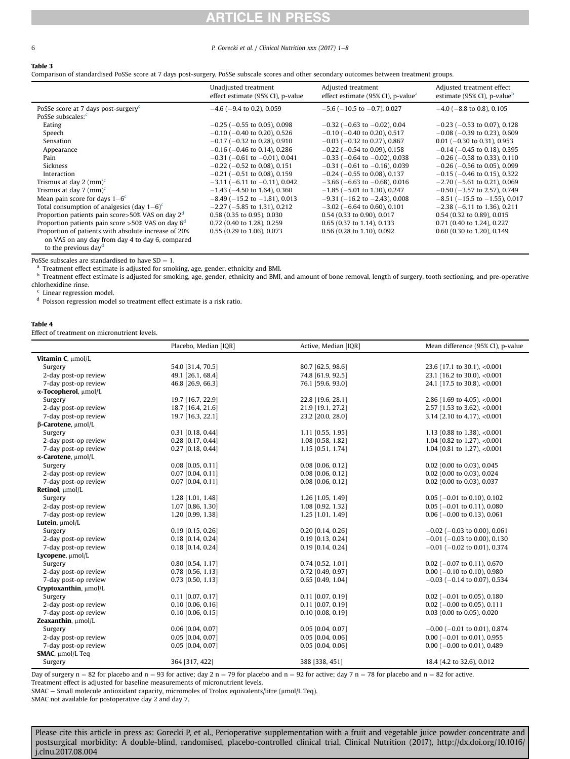#### RTICLE IN  $\Box$

#### <span id="page-6-0"></span>6 **P. Gorecki et al. / Clinical Nutrition xxx (2017) 1–8**

#### Table 3

Comparison of standardised PoSSe score at 7 days post-surgery, PoSSe subscale scores and other secondary outcomes between treatment groups.

|                                                              | Unadjusted treatment<br>effect estimate (95% CI), p-value | Adjusted treatment<br>effect estimate (95% CI), p-value <sup>a</sup> | Adjusted treatment effect<br>estimate (95% CI), p-value <sup>b</sup> |
|--------------------------------------------------------------|-----------------------------------------------------------|----------------------------------------------------------------------|----------------------------------------------------------------------|
| PoSSe score at 7 days post-surgery <sup><math>c</math></sup> | $-4.6$ ( $-9.4$ to 0.2), 0.059                            | $-5.6$ ( $-10.5$ to $-0.7$ ), 0.027                                  | $-4.0$ ( $-8.8$ to 0.8), 0.105                                       |
| PoSSe subscales: <sup>c</sup>                                |                                                           |                                                                      |                                                                      |
| Eating                                                       | $-0.25$ ( $-0.55$ to 0.05), 0.098                         | $-0.32$ ( $-0.63$ to $-0.02$ ), 0.04                                 | $-0.23$ ( $-0.53$ to 0.07), 0.128                                    |
| Speech                                                       | $-0.10$ ( $-0.40$ to 0.20), 0.526                         | $-0.10$ ( $-0.40$ to 0.20), 0.517                                    | $-0.08$ ( $-0.39$ to 0.23), 0.609                                    |
| Sensation                                                    | $-0.17$ ( $-0.32$ to 0.28), 0.910                         | $-0.03$ ( $-0.32$ to 0.27), 0.867                                    | $0.01$ (-0.30 to 0.31), 0.953                                        |
| Appearance                                                   | $-0.16$ ( $-0.46$ to 0.14), 0.286                         | $-0.22$ ( $-0.54$ to 0.09), 0.158                                    | $-0.14$ ( $-0.45$ to 0.18), 0.395                                    |
| Pain                                                         | $-0.31$ ( $-0.61$ to $-0.01$ ), 0.041                     | $-0.33$ ( $-0.64$ to $-0.02$ ), 0.038                                | $-0.26$ ( $-0.58$ to 0.33), 0.110                                    |
| Sickness                                                     | $-0.22$ ( $-0.52$ to 0.08), 0.151                         | $-0.31$ ( $-0.61$ to $-0.16$ ), 0.039                                | $-0.26$ ( $-0.56$ to 0.05), 0.099                                    |
| Interaction                                                  | $-0.21$ ( $-0.51$ to 0.08), 0.159                         | $-0.24$ ( $-0.55$ to 0.08), 0.137                                    | $-0.15$ ( $-0.46$ to 0.15), 0.322                                    |
| Trismus at day 2 $(mm)^c$                                    | $-3.11$ ( $-6.11$ to $-0.11$ ), 0.042                     | $-3.66$ ( $-6.63$ to $-0.68$ ), 0.016                                | $-2.70$ ( $-5.61$ to 0.21), 0.069                                    |
| Trismus at day 7 $(mm)^c$                                    | $-1.43$ ( $-4.50$ to 1.64), 0.360                         | $-1.85$ ( $-5.01$ to 1.30), 0.247                                    | $-0.50$ ( $-3.57$ to 2.57), 0.749                                    |
| Mean pain score for days $1-6^{\circ}$                       | $-8.49$ ( $-15.2$ to $-1.81$ ), 0.013                     | $-9.31$ ( $-16.2$ to $-2.43$ ), 0.008                                | $-8.51$ ( $-15.5$ to $-1.55$ ), 0.017                                |
| Total consumption of analgesics (day $1-6$ ) <sup>c</sup>    | $-2.27$ ( $-5.85$ to 1.31), 0.212                         | $-3.02$ ( $-6.64$ to 0.60), 0.101                                    | $-2.38$ ( $-6.11$ to 1.36), 0.211                                    |
| Proportion patients pain score>50% VAS on day 2 <sup>d</sup> | 0.58 (0.35 to 0.95), 0.030                                | 0.54 (0.33 to 0.90), 0.017                                           | 0.54 (0.32 to 0.89), 0.015                                           |
| Proportion patients pain score > 50% VAS on day $6d$         | 0.72 (0.40 to 1.28), 0.259                                | 0.65 (0.37 to 1.14), 0.133                                           | 0.71 (0.40 to 1.24), 0.227                                           |
| Proportion of patients with absolute increase of 20%         | 0.55 (0.29 to 1.06), 0.073                                | 0.56 (0.28 to 1.10), 0.092                                           | 0.60 (0.30 to 1.20), 0.149                                           |
| on VAS on any day from day 4 to day 6, compared              |                                                           |                                                                      |                                                                      |

to the previous day<sup>d</sup>

PoSSe subscales are standardised to have SD = 1.<br><sup>a</sup> Treatment effect estimate is adjusted for smoking, age, gender, ethnicity and BMI.

**b** Treatment effect estimate is adjusted for smoking, age, gender, ethnicity and BMI, and amount of bone removal, length of surgery, tooth sectioning, and pre-operative chlorhexidine rinse.

<sup>c</sup> Linear regression model.

<sup>d</sup> Poisson regression model so treatment effect estimate is a risk ratio.

#### Table 4

Effect of treatment on micronutrient levels.

|                                | Placebo, Median [IQR] | Active, Median [IQR] | Mean difference (95% CI), p-value     |
|--------------------------------|-----------------------|----------------------|---------------------------------------|
| Vitamin C, µmol/L              |                       |                      |                                       |
| Surgery                        | 54.0 [31.4, 70.5]     | 80.7 [62.5, 98.6]    | 23.6 (17.1 to 30.1), <0.001           |
| 2-day post-op review           | 49.1 [26.1, 68.4]     | 74.8 [61.9, 92.5]    | 23.1 (16.2 to 30.0), <0.001           |
| 7-day post-op review           | 46.8 [26.9, 66.3]     | 76.1 [59.6, 93.0]    | 24.1 (17.5 to 30.8), <0.001           |
| α-Tocopherol, μmol/L           |                       |                      |                                       |
| Surgery                        | 19.7 [16.7, 22.9]     | 22.8 [19.6, 28.1]    | 2.86 (1.69 to 4.05), <0.001           |
| 2-day post-op review           | 18.7 [16.4, 21.6]     | 21.9 [19.1, 27.2]    | 2.57 (1.53 to 3.62), <0.001           |
| 7-day post-op review           | 19.7 [16.3, 22.1]     | 23.2 [20.0, 28.0]    | 3.14 (2.10 to 4.17), <0.001           |
| $\beta$ -Carotene, $\mu$ mol/L |                       |                      |                                       |
| Surgery                        | $0.31$ [0.18, 0.44]   | 1.11 [0.55, 1.95]    | 1.13 (0.88 to 1.38), <0.001           |
| 2-day post-op review           | 0.28 [0.17, 0.44]     | 1.08 [0.58, 1.82]    | 1.04 (0.82 to 1.27), <0.001           |
| 7-day post-op review           | $0.27$ [0.18, 0.44]   | 1.15 [0.51, 1.74]    | 1.04 (0.81 to 1.27), <0.001           |
| α-Carotene, μmol/L             |                       |                      |                                       |
| Surgery                        | $0.08$ [0.05, 0.11]   | $0.08$ [0.06, 0.12]  | 0.02 (0.00 to 0.03), 0.045            |
| 2-day post-op review           | $0.07$ [0.04, 0.11]   | 0.08 [0.06, 0.12]    | 0.02 (0.00 to 0.03), 0.024            |
| 7-day post-op review           | $0.07$ [0.04, 0.11]   | 0.08 [0.06, 0.12]    | 0.02 (0.00 to 0.03), 0.037            |
| Retinol, µmol/L                |                       |                      |                                       |
| Surgery                        | 1.28 [1.01, 1.48]     | 1.26 [1.05, 1.49]    | $0.05$ (-0.01 to 0.10), 0.102         |
| 2-day post-op review           | 1.07 [0.86, 1.30]     | 1.08 [0.92, 1.32]    | $0.05$ ( $-0.01$ to 0.11), 0.080      |
| 7-day post-op review           | 1.20 [0.99, 1.38]     | 1.25 [1.01, 1.49]    | $0.06$ ( $-0.00$ to 0.13), 0.061      |
| Lutein, µmol/L                 |                       |                      |                                       |
| Surgery                        | $0.19$ [0.15, 0.26]   | $0.20$ [0.14, 0.26]  | $-0.02$ ( $-0.03$ to 0.00), 0.061     |
| 2-day post-op review           | $0.18$ [0.14, 0.24]   | $0.19$ [0.13, 0.24]  | $-0.01$ ( $-0.03$ to 0.00), 0.130     |
| 7-day post-op review           | $0.18$ [0.14, 0.24]   | 0.19 [0.14, 0.24]    | $-0.01$ ( $-0.02$ to 0.01), 0.374     |
| Lycopene, µmol/L               |                       |                      |                                       |
| Surgery                        | 0.80 [0.54, 1.17]     | $0.74$ [0.52, 1.01]  | $0.02$ (-0.07 to 0.11), 0.670         |
| 2-day post-op review           | $0.78$ [0.56, 1.13]   | 0.72 [0.49, 0.97]    | $0.00$ ( $-0.10$ to 0.10), 0.980      |
| 7-day post-op review           | $0.73$ [0.50, 1.13]   | $0.65$ [0.49, 1.04]  | $-0.03$ ( $-0.14$ to 0.07), 0.534     |
| Cryptoxanthin, umol/L          |                       |                      |                                       |
| Surgery                        | $0.11$ [0.07, 0.17]   | $0.11$ [0.07, 0.19]  | $0.02$ (-0.01 to 0.05), 0.180         |
| 2-day post-op review           | $0.10$ [0.06, 0.16]   | $0.11$ [0.07, 0.19]  | $0.02$ (-0.00 to 0.05), 0.111         |
| 7-day post-op review           | $0.10$ [0.06, 0.15]   | $0.10$ [0.08, 0.19]  | 0.03 (0.00 to 0.05), 0.020            |
| Zeaxanthin, umol/L             |                       |                      |                                       |
| Surgery                        | $0.06$ [0.04, 0.07]   | $0.05$ [0.04, 0.07]  | $-0.00$ ( $-0.01$ to 0.01), 0.874     |
| 2-day post-op review           | 0.05 [0.04, 0.07]     | $0.05$ [0.04, 0.06]  | $0.00$ ( $-0.01$ to $0.01$ ), $0.955$ |
| 7-day post-op review           | $0.05$ [0.04, 0.07]   | $0.05$ [0.04, 0.06]  | $0.00$ (-0.00 to 0.01), 0.489         |
| SMAC, umol/L Teq               |                       |                      |                                       |
| Surgery                        | 364 [317, 422]        | 388 [338, 451]       | 18.4 (4.2 to 32.6), 0.012             |

Day of surgery  $n = 82$  for placebo and  $n = 93$  for active; day  $2 n = 79$  for placebo and  $n = 92$  for active; day  $7 n = 78$  for placebo and  $n = 82$  for active. Treatment effect is adjusted for baseline measurements of micronutrient levels.

SMAC - Small molecule antioxidant capacity, micromoles of Trolox equivalents/litre (µmol/L Teq).

SMAC not available for postoperative day 2 and day 7.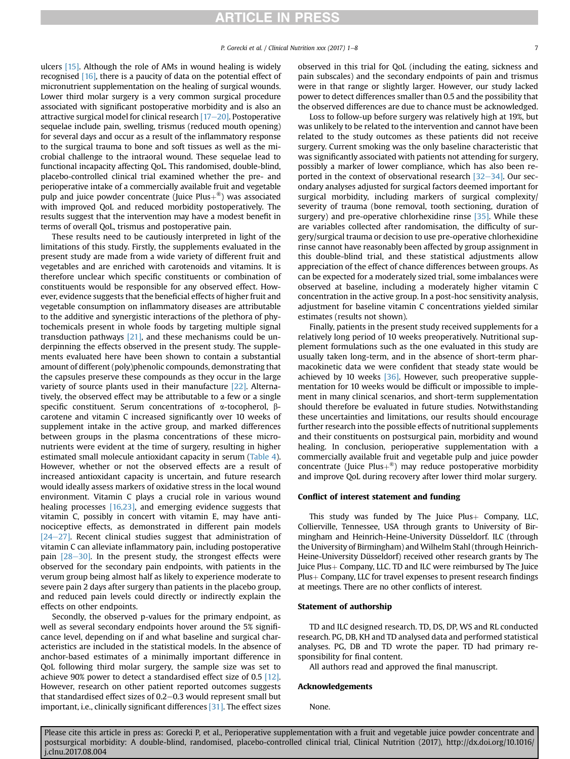ulcers [\[15\].](#page-8-0) Although the role of AMs in wound healing is widely recognised [\[16\]](#page-8-0), there is a paucity of data on the potential effect of micronutrient supplementation on the healing of surgical wounds. Lower third molar surgery is a very common surgical procedure associated with significant postoperative morbidity and is also an attractive surgical model for clinical research  $[17-20]$  $[17-20]$  $[17-20]$ . Postoperative sequelae include pain, swelling, trismus (reduced mouth opening) for several days and occur as a result of the inflammatory response to the surgical trauma to bone and soft tissues as well as the microbial challenge to the intraoral wound. These sequelae lead to functional incapacity affecting QoL. This randomised, double-blind, placebo-controlled clinical trial examined whether the pre- and perioperative intake of a commercially available fruit and vegetable pulp and juice powder concentrate (Juice  $Plus+$ <sup>®</sup>) was associated with improved QoL and reduced morbidity postoperatively. The results suggest that the intervention may have a modest benefit in terms of overall QoL, trismus and postoperative pain.

These results need to be cautiously interpreted in light of the limitations of this study. Firstly, the supplements evaluated in the present study are made from a wide variety of different fruit and vegetables and are enriched with carotenoids and vitamins. It is therefore unclear which specific constituents or combination of constituents would be responsible for any observed effect. However, evidence suggests that the beneficial effects of higher fruit and vegetable consumption on inflammatory diseases are attributable to the additive and synergistic interactions of the plethora of phytochemicals present in whole foods by targeting multiple signal transduction pathways [\[21\],](#page-8-0) and these mechanisms could be underpinning the effects observed in the present study. The supplements evaluated here have been shown to contain a substantial amount of different (poly)phenolic compounds, demonstrating that the capsules preserve these compounds as they occur in the large variety of source plants used in their manufacture [\[22\]](#page-8-0). Alternatively, the observed effect may be attributable to a few or a single specific constituent. Serum concentrations of  $\alpha$ -tocopherol,  $\beta$ carotene and vitamin C increased significantly over 10 weeks of supplement intake in the active group, and marked differences between groups in the plasma concentrations of these micronutrients were evident at the time of surgery, resulting in higher estimated small molecule antioxidant capacity in serum [\(Table 4\)](#page-6-0). However, whether or not the observed effects are a result of increased antioxidant capacity is uncertain, and future research would ideally assess markers of oxidative stress in the local wound environment. Vitamin C plays a crucial role in various wound healing processes [\[16,23\],](#page-8-0) and emerging evidence suggests that vitamin C, possibly in concert with vitamin E, may have antinociceptive effects, as demonstrated in different pain models  $[24-27]$  $[24-27]$  $[24-27]$ . Recent clinical studies suggest that administration of vitamin C can alleviate inflammatory pain, including postoperative pain  $[28-30]$  $[28-30]$ . In the present study, the strongest effects were observed for the secondary pain endpoints, with patients in the verum group being almost half as likely to experience moderate to severe pain 2 days after surgery than patients in the placebo group, and reduced pain levels could directly or indirectly explain the effects on other endpoints.

Secondly, the observed p-values for the primary endpoint, as well as several secondary endpoints hover around the 5% significance level, depending on if and what baseline and surgical characteristics are included in the statistical models. In the absence of anchor-based estimates of a minimally important difference in QoL following third molar surgery, the sample size was set to achieve 90% power to detect a standardised effect size of 0.5 [\[12\].](#page-8-0) However, research on other patient reported outcomes suggests that standardised effect sizes of  $0.2-0.3$  would represent small but important, i.e., clinically significant differences [\[31\]](#page-8-0). The effect sizes observed in this trial for QoL (including the eating, sickness and pain subscales) and the secondary endpoints of pain and trismus were in that range or slightly larger. However, our study lacked power to detect differences smaller than 0.5 and the possibility that the observed differences are due to chance must be acknowledged.

Loss to follow-up before surgery was relatively high at 19%, but was unlikely to be related to the intervention and cannot have been related to the study outcomes as these patients did not receive surgery. Current smoking was the only baseline characteristic that was significantly associated with patients not attending for surgery, possibly a marker of lower compliance, which has also been reported in the context of observational research  $[32-34]$  $[32-34]$ . Our secondary analyses adjusted for surgical factors deemed important for surgical morbidity, including markers of surgical complexity/ severity of trauma (bone removal, tooth sectioning, duration of surgery) and pre-operative chlorhexidine rinse [\[35\]](#page-8-0). While these are variables collected after randomisation, the difficulty of surgery/surgical trauma or decision to use pre-operative chlorhexidine rinse cannot have reasonably been affected by group assignment in this double-blind trial, and these statistical adjustments allow appreciation of the effect of chance differences between groups. As can be expected for a moderately sized trial, some imbalances were observed at baseline, including a moderately higher vitamin C concentration in the active group. In a post-hoc sensitivity analysis, adjustment for baseline vitamin C concentrations yielded similar estimates (results not shown).

Finally, patients in the present study received supplements for a relatively long period of 10 weeks preoperatively. Nutritional supplement formulations such as the one evaluated in this study are usually taken long-term, and in the absence of short-term pharmacokinetic data we were confident that steady state would be achieved by 10 weeks [\[36\].](#page-8-0) However, such preoperative supplementation for 10 weeks would be difficult or impossible to implement in many clinical scenarios, and short-term supplementation should therefore be evaluated in future studies. Notwithstanding these uncertainties and limitations, our results should encourage further research into the possible effects of nutritional supplements and their constituents on postsurgical pain, morbidity and wound healing. In conclusion, perioperative supplementation with a commercially available fruit and vegetable pulp and juice powder concentrate (Juice Plus $+^{\otimes}$ ) may reduce postoperative morbidity and improve QoL during recovery after lower third molar surgery.

#### Conflict of interest statement and funding

This study was funded by The Juice  $Plus+$  Company, LLC, Collierville, Tennessee, USA through grants to University of Birmingham and Heinrich-Heine-University Düsseldorf. ILC (through the University of Birmingham) and Wilhelm Stahl (through Heinrich-Heine-University Düsseldorf) received other research grants by The Juice  $Plus + Company$ , LLC. TD and ILC were reimbursed by The Juice Plus+ Company, LLC for travel expenses to present research findings at meetings. There are no other conflicts of interest.

#### Statement of authorship

TD and ILC designed research. TD, DS, DP, WS and RL conducted research. PG, DB, KH and TD analysed data and performed statistical analyses. PG, DB and TD wrote the paper. TD had primary responsibility for final content.

All authors read and approved the final manuscript.

#### Acknowledgements

None.